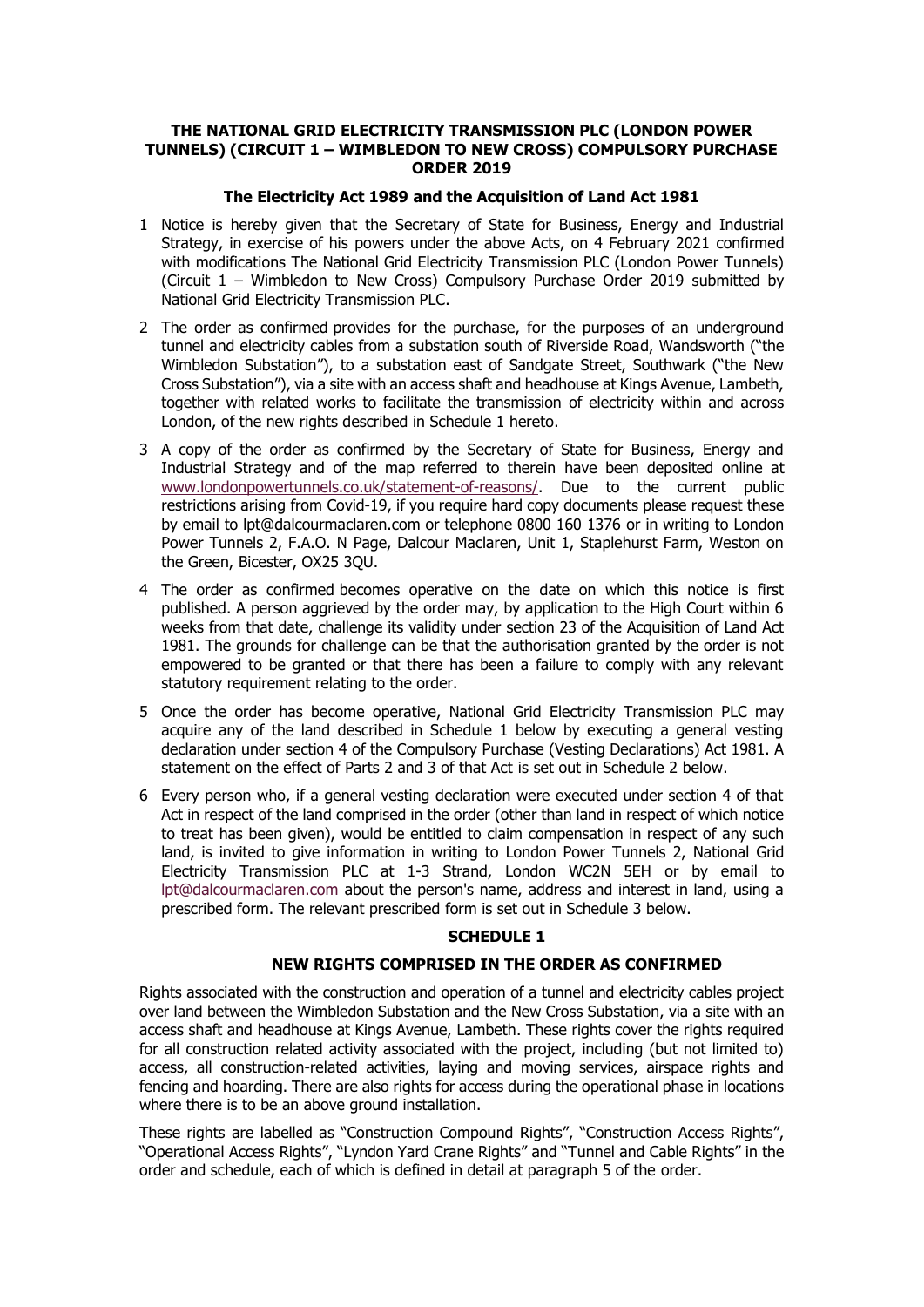# **THE NATIONAL GRID ELECTRICITY TRANSMISSION PLC (LONDON POWER TUNNELS) (CIRCUIT 1 – WIMBLEDON TO NEW CROSS) COMPULSORY PURCHASE ORDER 2019**

# **The Electricity Act 1989 and the Acquisition of Land Act 1981**

- 1 Notice is hereby given that the Secretary of State for Business, Energy and Industrial Strategy, in exercise of his powers under the above Acts, on 4 February 2021 confirmed with modifications The National Grid Electricity Transmission PLC (London Power Tunnels) (Circuit 1 – Wimbledon to New Cross) Compulsory Purchase Order 2019 submitted by National Grid Electricity Transmission PLC.
- 2 The order as confirmed provides for the purchase, for the purposes of an underground tunnel and electricity cables from a substation south of Riverside Road, Wandsworth ("the Wimbledon Substation"), to a substation east of Sandgate Street, Southwark ("the New Cross Substation"), via a site with an access shaft and headhouse at Kings Avenue, Lambeth, together with related works to facilitate the transmission of electricity within and across London, of the new rights described in Schedule 1 hereto.
- 3 A copy of the order as confirmed by the Secretary of State for Business, Energy and Industrial Strategy and of the map referred to therein have been deposited online at [www.londonpowertunnels.co.uk/statement-of-reasons/.](http://www.londonpowertunnels.co.uk/statement-of-reasons/) Due to the current public restrictions arising from Covid-19, if you require hard copy documents please request these by email to lpt@dalcourmaclaren.com or telephone 0800 160 1376 or in writing to London Power Tunnels 2, F.A.O. N Page, Dalcour Maclaren, Unit 1, Staplehurst Farm, Weston on the Green, Bicester, OX25 3QU.
- 4 The order as confirmed becomes operative on the date on which this notice is first published. A person aggrieved by the order may, by application to the High Court within 6 weeks from that date, challenge its validity under [section 23](https://www.lexisnexis.com/uk/legal/search/enhRunRemoteLink.do?linkInfo=F%23GB%23UK_ACTS%23sect%2523%25num%251981_67a%25section%2523%25&A=0.44706109332557786&backKey=20_T73352812&service=citation&ersKey=23_T73352814&langcountry=GB) of the Acquisition of Land Act 1981. The grounds for challenge can be that the authorisation granted by the order is not empowered to be granted or that there has been a failure to comply with any relevant statutory requirement relating to the order.
- 5 Once the order has become operative, National Grid Electricity Transmission PLC may acquire any of the land described in Schedule 1 below by executing a general vesting declaration under section 4 of the Compulsory Purchase (Vesting Declarations) Act 1981. A statement on the effect of Parts 2 and 3 of that Act is set out in Schedule 2 below.
- 6 Every person who, if a general vesting declaration were executed under section 4 of that Act in respect of the land comprised in the order (other than land in respect of which notice to treat has been given), would be entitled to claim compensation in respect of any such land, is invited to give information in writing to London Power Tunnels 2, National Grid Electricity Transmission PLC at 1-3 Strand, London WC2N 5EH or by email to [lpt@dalcourmaclaren.com](mailto:lpt@dalcourmaclaren.com) about the person's name, address and interest in land, using a prescribed form. The relevant prescribed form is set out in Schedule 3 below.

# **SCHEDULE 1**

# **NEW RIGHTS COMPRISED IN THE ORDER AS CONFIRMED**

Rights associated with the construction and operation of a tunnel and electricity cables project over land between the Wimbledon Substation and the New Cross Substation, via a site with an access shaft and headhouse at Kings Avenue, Lambeth. These rights cover the rights required for all construction related activity associated with the project, including (but not limited to) access, all construction-related activities, laying and moving services, airspace rights and fencing and hoarding. There are also rights for access during the operational phase in locations where there is to be an above ground installation.

These rights are labelled as "Construction Compound Rights", "Construction Access Rights", "Operational Access Rights", "Lyndon Yard Crane Rights" and "Tunnel and Cable Rights" in the order and schedule, each of which is defined in detail at paragraph 5 of the order.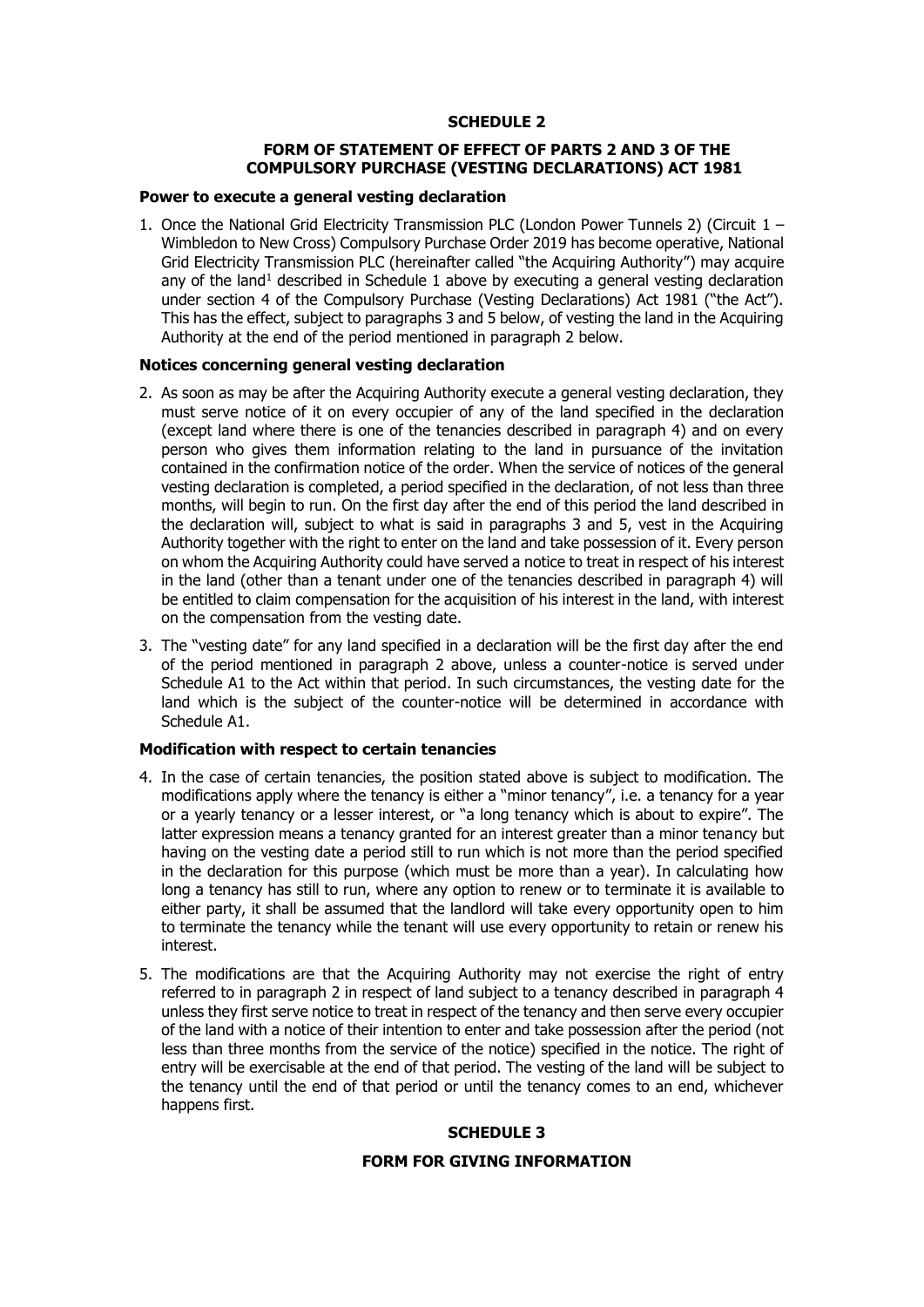# **SCHEDULE 2**

# **FORM OF STATEMENT OF EFFECT OF PARTS 2 AND 3 OF THE COMPULSORY PURCHASE (VESTING DECLARATIONS) ACT 1981**

#### **Power to execute a general vesting declaration**

1. Once the National Grid Electricity Transmission PLC (London Power Tunnels 2) (Circuit  $1 -$ Wimbledon to New Cross) Compulsory Purchase Order 2019 has become operative, National Grid Electricity Transmission PLC (hereinafter called "the Acquiring Authority") may acquire any of the land<sup>1</sup> described in Schedule 1 above by executing a general vesting declaration under section 4 of the Compulsory Purchase (Vesting Declarations) Act 1981 ("the Act"). This has the effect, subject to paragraphs 3 and 5 below, of vesting the land in the Acquiring Authority at the end of the period mentioned in paragraph 2 below.

# **Notices concerning general vesting declaration**

- 2. As soon as may be after the Acquiring Authority execute a general vesting declaration, they must serve notice of it on every occupier of any of the land specified in the declaration (except land where there is one of the tenancies described in paragraph 4) and on every person who gives them information relating to the land in pursuance of the invitation contained in the confirmation notice of the order. When the service of notices of the general vesting declaration is completed, a period specified in the declaration, of not less than three months, will begin to run. On the first day after the end of this period the land described in the declaration will, subject to what is said in paragraphs 3 and 5, vest in the Acquiring Authority together with the right to enter on the land and take possession of it. Every person on whom the Acquiring Authority could have served a notice to treat in respect of his interest in the land (other than a tenant under one of the tenancies described in paragraph 4) will be entitled to claim compensation for the acquisition of his interest in the land, with interest on the compensation from the vesting date.
- 3. The "vesting date" for any land specified in a declaration will be the first day after the end of the period mentioned in paragraph 2 above, unless a counter-notice is served under Schedule A1 to the Act within that period. In such circumstances, the vesting date for the land which is the subject of the counter-notice will be determined in accordance with Schedule A1.

# **Modification with respect to certain tenancies**

- 4. In the case of certain tenancies, the position stated above is subject to modification. The modifications apply where the tenancy is either a "minor tenancy", i.e. a tenancy for a year or a yearly tenancy or a lesser interest, or "a long tenancy which is about to expire". The latter expression means a tenancy granted for an interest greater than a minor tenancy but having on the vesting date a period still to run which is not more than the period specified in the declaration for this purpose (which must be more than a year). In calculating how long a tenancy has still to run, where any option to renew or to terminate it is available to either party, it shall be assumed that the landlord will take every opportunity open to him to terminate the tenancy while the tenant will use every opportunity to retain or renew his interest.
- 5. The modifications are that the Acquiring Authority may not exercise the right of entry referred to in paragraph 2 in respect of land subject to a tenancy described in paragraph 4 unless they first serve notice to treat in respect of the tenancy and then serve every occupier of the land with a notice of their intention to enter and take possession after the period (not less than three months from the service of the notice) specified in the notice. The right of entry will be exercisable at the end of that period. The vesting of the land will be subject to the tenancy until the end of that period or until the tenancy comes to an end, whichever happens first.

# **SCHEDULE 3**

### **FORM FOR GIVING INFORMATION**